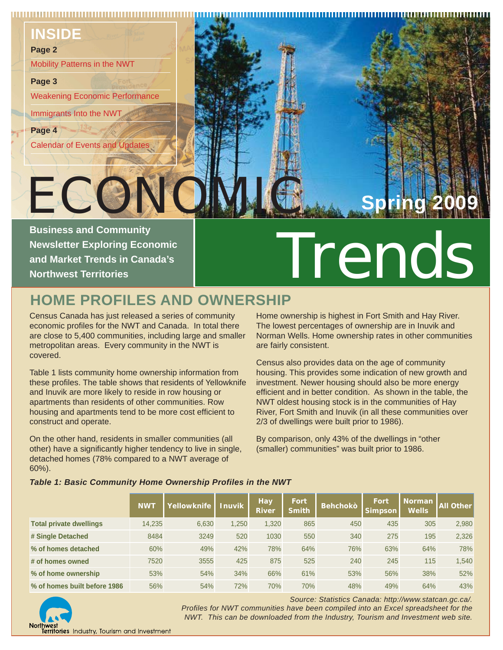#### **INSIDE**

#### **Page 2**

Mobility Patterns in the NWT

#### **Page 3**

Weakening Economic Performance

Immigrants Into the NWT

ECC

**Page 4**

 $\left\{ \frac{3}{2} \right\}$ Calendar of Events and Updates



**Newsletter Exploring Economic and Market Trends in Canada's Northwest Territories**

# Business and Community<br>Newsletter Exploring Economic<br>And Market Trends in Canada's<br>Northwest Territories

## **HOME PROFILES AND OWNERSHIP**

Census Canada has just released a series of community economic profiles for the NWT and Canada. In total there are close to 5,400 communities, including large and smaller metropolitan areas. Every community in the NWT is covered.

Table 1 lists community home ownership information from these profiles. The table shows that residents of Yellowknife and Inuvik are more likely to reside in row housing or apartments than residents of other communities. Row housing and apartments tend to be more cost efficient to construct and operate.

On the other hand, residents in smaller communities (all other) have a significantly higher tendency to live in single, detached homes (78% compared to a NWT average of 60%).

*Table 1: Basic Community Home Ownership Profiles in the NWT*

Home ownership is highest in Fort Smith and Hay River. The lowest percentages of ownership are in Inuvik and Norman Wells. Home ownership rates in other communities are fairly consistent.

Census also provides data on the age of community housing. This provides some indication of new growth and investment. Newer housing should also be more energy efficient and in better condition. As shown in the table, the NWT oldest housing stock is in the communities of Hay River, Fort Smith and Inuvik (in all these communities over 2/3 of dwellings were built prior to 1986).

By comparison, only 43% of the dwellings in "other (smaller) communities" was built prior to 1986.

|                                | <b>NWT</b> | Yellowknife | <b>Inuvik</b> | Hay<br><b>River</b> | Fort<br><b>Smith</b> | <b>Behchokò</b> | <b>Fort</b><br><b>Simpson</b> | <b>Norman</b><br><b>Wells</b> | <b>All Other</b> |  |  |
|--------------------------------|------------|-------------|---------------|---------------------|----------------------|-----------------|-------------------------------|-------------------------------|------------------|--|--|
| <b>Total private dwellings</b> | 14,235     | 6,630       | 1,250         | 1,320               | 865                  | 450             | 435                           | 305                           | 2,980            |  |  |
| # Single Detached              | 8484       | 3249        | 520           | 1030                | 550                  | 340             | 275                           | 195                           | 2,326            |  |  |
| % of homes detached            | 60%        | 49%         | 42%           | 78%                 | 64%                  | 76%             | 63%                           | 64%                           | 78%              |  |  |
| # of homes owned               | 7520       | 3555        | 425           | 875                 | 525                  | 240             | 245                           | 115                           | 1,540            |  |  |
| % of home ownership            | 53%        | 54%         | 34%           | 66%                 | 61%                  | 53%             | 56%                           | 38%                           | 52%              |  |  |
| % of homes built before 1986   | 56%        | 54%         | 72%           | 70%                 | 70%                  | 48%             | 49%                           | 64%                           | 43%              |  |  |



*Source: Statistics Canada: http://www.statcan.gc.ca/. Profiles for NWT communities have been compiled into an Excel spreadsheet for the NWT. This can be downloaded from the Industry, Tourism and Investment web site.*

**erritories** Industry, Tourism and Investment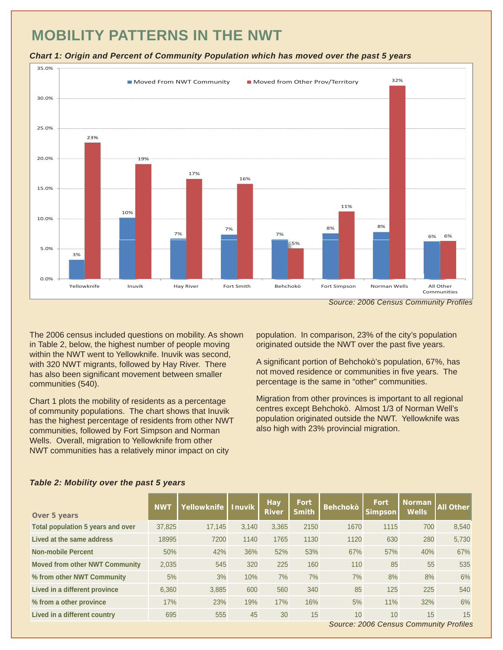## **MOBILITY PATTERNS IN THE NWT**





The 2006 census included questions on mobility. As shown in Table 2, below, the highest number of people moving within the NWT went to Yellowknife. Inuvik was second, with 320 NWT migrants, followed by Hay River. There has also been significant movement between smaller communities (540).

Chart 1 plots the mobility of residents as a percentage of community populations. The chart shows that Inuvik has the highest percentage of residents from other NWT communities, followed by Fort Simpson and Norman Wells. Overall, migration to Yellowknife from other NWT communities has a relatively minor impact on city

population. In comparison, 23% of the city's population originated outside the NWT over the past five years.

A significant portion of Behchokò's population, 67%, has not moved residence or communities in five years. The percentage is the same in "other" communities.

Migration from other provinces is important to all regional centres except Behchokò. Almost 1/3 of Norman Well's population originated outside the NWT. Yellowknife was also high with 23% provincial migration.

| Over 5 years                          | <b>NWT</b> | Yellowknife | <b>Inuvik</b> | <b>Hay</b><br><b>River</b> | Fort<br><b>Smith</b> | <b>Behchokò</b> | <b>Fort</b><br>Simpson                       | Norman<br><b>Wells</b> | <b>All Other</b> |
|---------------------------------------|------------|-------------|---------------|----------------------------|----------------------|-----------------|----------------------------------------------|------------------------|------------------|
| Total population 5 years and over     | 37,825     | 17,145      | 3,140         | 3,365                      | 2150                 | 1670            | 1115                                         | 700                    | 8,540            |
| Lived at the same address             | 18995      | 7200        | 1140          | 1765                       | 1130                 | 1120            | 630                                          | 280                    | 5,730            |
| <b>Non-mobile Percent</b>             | 50%        | 42%         | 36%           | 52%                        | 53%                  | 67%             | 57%                                          | 40%                    | 67%              |
| <b>Moved from other NWT Community</b> | 2.035      | 545         | 320           | 225                        | 160                  | 110             | 85                                           | 55                     | 535              |
| % from other NWT Community            | 5%         | 3%          | 10%           | 7%                         | 7%                   | 7%              | 8%                                           | 8%                     | 6%               |
| Lived in a different province         | 6,360      | 3,885       | 600           | 560                        | 340                  | 85              | 125                                          | 225                    | 540              |
| % from a other province               | 17%        | 23%         | 19%           | 17%                        | 16%                  | 5%              | 11%                                          | 32%                    | 6%               |
| Lived in a different country          | 695        | 555         | 45            | 30                         | 15                   | 10              | 10<br>Source: 2006 Cansus Community Profiles | 15                     | 15               |

#### *Table 2: Mobility over the past 5 years*

*Source: 2006 Census Community Profiles*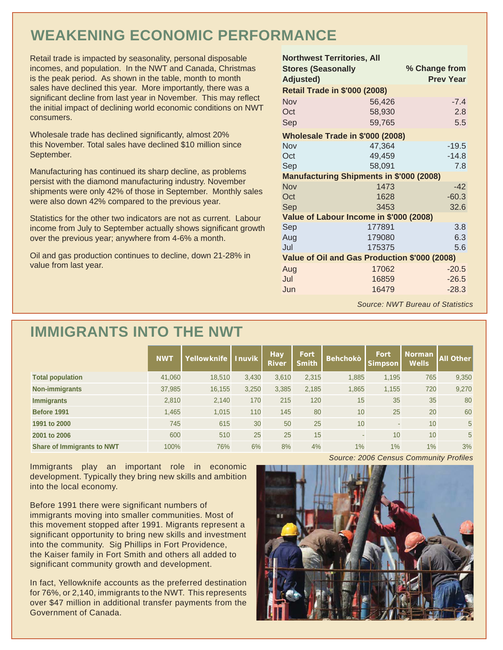## **WEAKENING ECONOMIC PERFORMANCE**

Retail trade is impacted by seasonality, personal disposable incomes, and population. In the NWT and Canada, Christmas is the peak period. As shown in the table, month to month sales have declined this year. More importantly, there was a significant decline from last year in November. This may reflect the initial impact of declining world economic conditions on NWT consumers.

Wholesale trade has declined significantly, almost 20% this November. Total sales have declined \$10 million since September.

Manufacturing has continued its sharp decline, as problems persist with the diamond manufacturing industry. November shipments were only 42% of those in September. Monthly sales were also down 42% compared to the previous year.

Statistics for the other two indicators are not as current. Labour income from July to September actually shows significant growth over the previous year; anywhere from 4-6% a month.

Oil and gas production continues to decline, down 21-28% in value from last year.

| <b>Northwest Territories, All</b><br><b>Stores (Seasonally</b><br><b>Adjusted)</b> | % Change from<br><b>Prev Year</b> |         |  |  |  |  |  |  |
|------------------------------------------------------------------------------------|-----------------------------------|---------|--|--|--|--|--|--|
| <b>Retail Trade in \$'000 (2008)</b>                                               |                                   |         |  |  |  |  |  |  |
| Nov                                                                                | 56,426                            | $-7.4$  |  |  |  |  |  |  |
| Oct                                                                                | 58,930                            | 2.8     |  |  |  |  |  |  |
| Sep                                                                                | 59,765                            | 5.5     |  |  |  |  |  |  |
| Wholesale Trade in \$'000 (2008)                                                   |                                   |         |  |  |  |  |  |  |
| Nov                                                                                | 47,364                            | $-19.5$ |  |  |  |  |  |  |
| Oct                                                                                | 49,459                            | $-14.8$ |  |  |  |  |  |  |
| Sep                                                                                | 58,091                            | 7.8     |  |  |  |  |  |  |
| <b>Manufacturing Shipments in \$'000 (2008)</b>                                    |                                   |         |  |  |  |  |  |  |
| Nov                                                                                | 1473                              | $-42$   |  |  |  |  |  |  |
| Oct                                                                                | 1628                              | $-60.3$ |  |  |  |  |  |  |
| Sep                                                                                | 3453                              | 32.6    |  |  |  |  |  |  |
| Value of Labour Income in \$'000 (2008)                                            |                                   |         |  |  |  |  |  |  |
| Sep                                                                                | 177891                            | 3.8     |  |  |  |  |  |  |
| Aug                                                                                | 179080                            | 6.3     |  |  |  |  |  |  |
| Jul                                                                                | 175375                            | 5.6     |  |  |  |  |  |  |
| Value of Oil and Gas Production \$'000 (2008)                                      |                                   |         |  |  |  |  |  |  |
| Aug                                                                                | 17062                             | $-20.5$ |  |  |  |  |  |  |
| Jul                                                                                | 16859                             | $-26.5$ |  |  |  |  |  |  |
| Jun                                                                                | 16479                             | $-28.3$ |  |  |  |  |  |  |
|                                                                                    |                                   |         |  |  |  |  |  |  |

*Source: NWT Bureau of Statistics*

#### **IMMIGRANTS INTO THE NWT**

|                                   | <b>NWT</b> | Yellowknife | <b>Inuvik</b> | Hay<br><b>River</b> | Fort<br><b>Smith</b> | <b>Behchokò</b> | <b>Fort</b><br><b>Simpson</b> | <b>Norman</b><br><b>Wells</b> | <b>All Other</b> |
|-----------------------------------|------------|-------------|---------------|---------------------|----------------------|-----------------|-------------------------------|-------------------------------|------------------|
| <b>Total population</b>           | 41,060     | 18,510      | 3,430         | 3,610               | 2,315                | 1,885           | 1,195                         | 765                           | 9,350            |
| <b>Non-immigrants</b>             | 37,985     | 16,155      | 3,250         | 3,385               | 2,185                | 1,865           | 1,155                         | 720                           | 9,270            |
| <b>Immigrants</b>                 | 2,810      | 2,140       | 170           | 215                 | 120                  | 15              | 35                            | 35                            | 80               |
| Before 1991                       | 1,465      | 1.015       | 110           | 145                 | 80                   | 10              | 25                            | 20                            | 60               |
| 1991 to 2000                      | 745        | 615         | 30            | 50                  | 25                   | 10              |                               | 10                            | 5 <sup>5</sup>   |
| 2001 to 2006                      | 600        | 510         | 25            | 25                  | 15                   |                 | 10                            | 10                            | 5 <sup>5</sup>   |
| <b>Share of Immigrants to NWT</b> | 100%       | 76%         | 6%            | 8%                  | 4%                   | 1%              | 1%                            | 1%                            | 3%               |

Immigrants play an important role in economic development. Typically they bring new skills and ambition into the local economy.

Before 1991 there were significant numbers of immigrants moving into smaller communities. Most of this movement stopped after 1991. Migrants represent a significant opportunity to bring new skills and investment into the community. Sig Phillips in Fort Providence, the Kaiser family in Fort Smith and others all added to significant community growth and development.

In fact, Yellowknife accounts as the preferred destination for 76%, or 2,140, immigrants to the NWT. This represents over \$47 million in additional transfer payments from the Government of Canada.

*Source: 2006 Census Community Profiles*